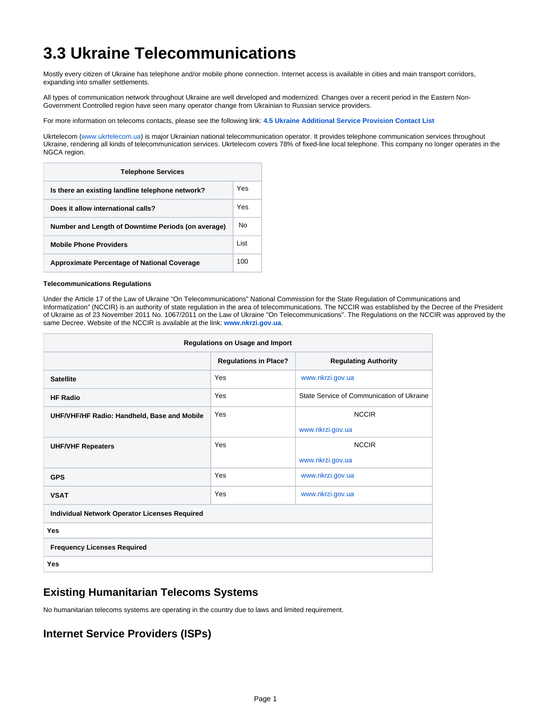# **3.3 Ukraine Telecommunications**

Mostly every citizen of Ukraine has telephone and/or mobile phone connection. Internet access is available in cities and main transport corridors, expanding into smaller settlements.

All types of communication network throughout Ukraine are well developed and modernized. Changes over a recent period in the Eastern Non-Government Controlled region have seen many operator change from Ukrainian to Russian service providers.

For more information on telecoms contacts, please see the following link: **[4.5 Ukraine Additional Service Provision Contact List](https://dlca.logcluster.org/display/DLCA/4.5+Ukraine+Additional+Service+Provision+Contact+List)**

Ukrtelecom ([www.ukrtelecom.ua\)](http://www.ukrtelecom.ua/) is major Ukrainian national telecommunication operator. It provides telephone communication services throughout Ukraine, rendering all kinds of telecommunication services. Ukrtelecom covers 78% of fixed-line local telephone. This company no longer operates in the NGCA region.

| <b>Telephone Services</b>                          |       |  |  |
|----------------------------------------------------|-------|--|--|
| Is there an existing landline telephone network?   | Yes   |  |  |
| Does it allow international calls?                 | Yes   |  |  |
| Number and Length of Downtime Periods (on average) | N٥    |  |  |
| <b>Mobile Phone Providers</b>                      | I ist |  |  |
| <b>Approximate Percentage of National Coverage</b> | 100   |  |  |

#### **Telecommunications Regulations**

Under the Article 17 of the Law of Ukraine "On Telecommunications" National Commission for the State Regulation of Communications and Informatization" (NCCIR) is an authority of state regulation in the area of telecommunications. The NCCIR was established by the Decree of the President of Ukraine as of 23 November 2011 No. 1067/2011 on the Law of Ukraine "On Telecommunications". The Regulations on the NCCIR was approved by the same Decree. Website of the NCCIR is available at the link: **[www.nkrzi.gov.ua](http://www.nkrzi.gov.ua/)**.

| Regulations on Usage and Import                      |                              |                                           |  |  |  |
|------------------------------------------------------|------------------------------|-------------------------------------------|--|--|--|
|                                                      | <b>Regulations in Place?</b> | <b>Regulating Authority</b>               |  |  |  |
| <b>Satellite</b>                                     | Yes                          | www.nkrzi.gov.ua                          |  |  |  |
| <b>HF Radio</b>                                      | Yes                          | State Service of Communication of Ukraine |  |  |  |
| UHF/VHF/HF Radio: Handheld, Base and Mobile          | Yes                          | <b>NCCIR</b>                              |  |  |  |
|                                                      |                              | www.nkrzi.gov.ua                          |  |  |  |
| <b>UHF/VHF Repeaters</b>                             | Yes                          | <b>NCCIR</b>                              |  |  |  |
|                                                      |                              | www.nkrzi.gov.ua                          |  |  |  |
| <b>GPS</b>                                           | Yes                          | www.nkrzi.gov.ua                          |  |  |  |
| <b>VSAT</b>                                          | Yes                          | www.nkrzi.gov.ua                          |  |  |  |
| <b>Individual Network Operator Licenses Required</b> |                              |                                           |  |  |  |
| <b>Yes</b>                                           |                              |                                           |  |  |  |
| <b>Frequency Licenses Required</b>                   |                              |                                           |  |  |  |
| Yes                                                  |                              |                                           |  |  |  |

### **Existing Humanitarian Telecoms Systems**

No humanitarian telecoms systems are operating in the country due to laws and limited requirement.

## **Internet Service Providers (ISPs)**